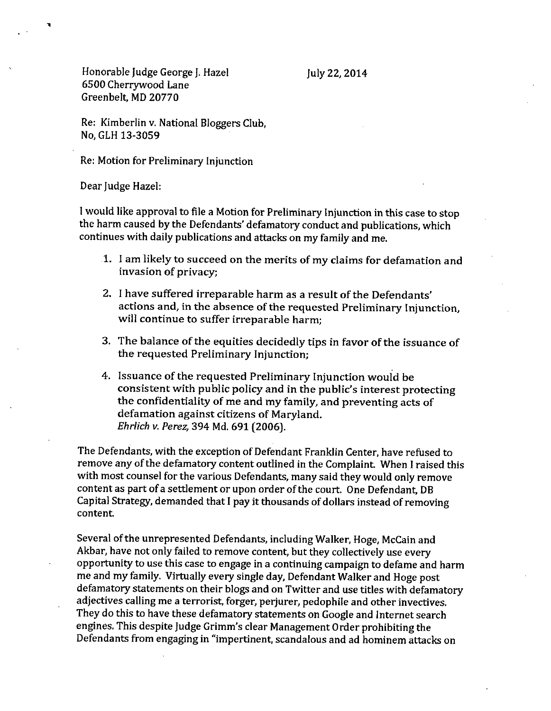Honorable Judge George *r* Hazel 6500 Cherrywood Lane Greenbelt, MD20770

Re: Kimberlin v. National BIoggers Club, No, GLH13-3059

Re: Motion for Preliminary Injunction

Dear Judge Hazel:

I would like approval to file a Motion for Preliminary Injunction in this case to stop the harm caused by the Defendants' defamatory conduct and publications, which continues with daily publications and attacks on my family and me.

- 1. I am likely to succeed on the merits of my claims for defamation and invasion of privacy;
- 2. I have suffered irreparable harm as a result of the Defendants' actions and, in the absence of the requested Preliminary Injunction, will continue to suffer irreparable harm;
- 3. The balance of the equities decidedly tips in favor of the issuance of the requested Preliminary Injunction;
- 4. Issuance of the requested Preliminary Injunction would be consistent with public policy and in the public's interest protecting the confidentiality of me and my family, and preventing acts of defamation against citizens of Maryland. *Ehrlich v. Perez,* 394 Md. 691 (2006).

The Defendants, with the exception of Defendant Franklin Center, have refused to remove any of the defamatory content outlined in the Complaint. When I raised this with most counsel for the various Defendants, many said they would only remove content as part of a settlement or upon order of the court. One Defendant, DB Capital Strategy, demanded that I pay it thousands of dollars instead of removing content

Several of the unrepresented Defendants, including Walker, Hoge, McCain and Akbar, have not only failed to remove content, but they collectively use every opportunity to use this case to engage in a continuing campaign to defame and harm me and my family. Virtually every single day, Defendant Walker and Hoge post defamatory statements on their blogs and on Twitter and use titles with defamatory adjectives calling me a terrorist, forger, perjurer, pedophile and other invectives. They do this to have these defamatory statements on Google and Internet search engines. This despite Judge Grimm's clear Management Order prohibiting the Defendants from engaging in "impertinent, scandalous and ad hominem attacks on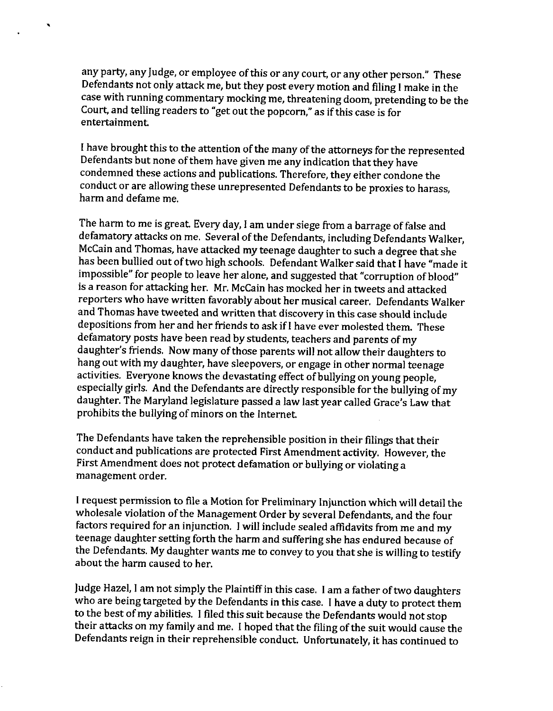any party, any Judge, or employee of this or any court, or any other person." These Defendants not only attack me, but they post *every* motion and filing I make in the case with running commentary mocking me, threatening doom, pretending to be the Court, and telling readers to "get out the popcorn," as if this case is for entertainment

,

I have brought this to the attention of the many of the attorneys for the represented Defendants but none of them have given me any indication that they have condemned these actions and publications. Therefore, they either condone the conduct or are allowing these unrepresented Defendants to be proxies to harass, harm and defame me.

The harm to me is great *Every* day, I am under siege from a barrage of false and defamatory attacks on me, Several of the Defendants, including Defendants Walker, McCain and Thomas, have attacked my teenage daughter to such a degree that she has been bullied out of two high schools. Defendant Walker said that I have "made it impossible" for people to leave her alone, and suggested that "corruption of blood" is a reason for attacking her. Mr. McCain has mocked her in tweets and attacked reporters who have written favorably about her musical career. Defendants Walker and Thomas have tweeted and written that discovery in this case should include depositions from her and her friends to ask if I have *ever* molested them. These defamatory posts have been read by students, teachers and parents of my daughter's friends, Now many of those parents will not allow their daughters to hang out with my daughter, have sleepovers, or engage in other normal teenage activities, Everyone knows the devastating effect of bullying on young people, especially girls. And the Defendants are directly responsible for the bullying of my daughter. The Maryland legislature passed a law last year called Grace's Law that prohibits the bullying of minors on the Internet.

The Defendants have taken the reprehensible position in their filings that their conduct and publications are protected First Amendment activity. However, the First Amendment does not protect defamation or bullying or violating a management order.

I request permission to file a Motion for Preliminary Injunction which will detail the wholesale violation of the Management Order by several Defendants, and the four factors required for an injunction. I will include sealed affidavits from me and my teenage daughter setting forth the harm and suffering she has endured because of the Defendants. My daughter wants me to convey to you that she is willing to testify about the harm caused to her.

Judge Hazel, I am not simply the Plaintiff in this case. I am a father of two daughters who are being targeted by the Defendants in this case. I have a duty to protect them to the best of my abilities. I filed this suit because the Defendants would not stop their attacks on my family and me. I hoped that the filing of the suit would cause the Defendants reign in their reprehensible conduct. Unfortunately, it has continued to